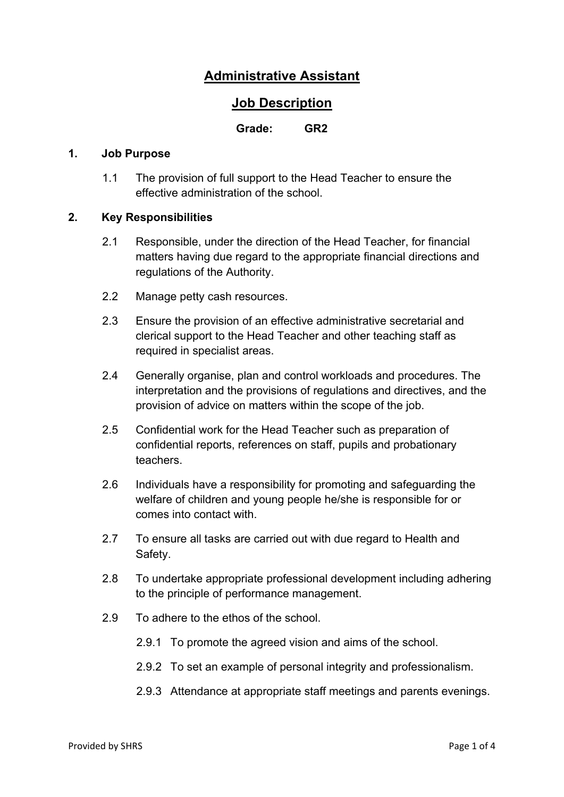# **Administrative Assistant**

## **Job Description**

#### **Grade: GR2**

#### **1. Job Purpose**

1.1 The provision of full support to the Head Teacher to ensure the effective administration of the school.

#### **2. Key Responsibilities**

- 2.1 Responsible, under the direction of the Head Teacher, for financial matters having due regard to the appropriate financial directions and regulations of the Authority.
- 2.2 Manage petty cash resources.
- 2.3 Ensure the provision of an effective administrative secretarial and clerical support to the Head Teacher and other teaching staff as required in specialist areas.
- 2.4 Generally organise, plan and control workloads and procedures. The interpretation and the provisions of regulations and directives, and the provision of advice on matters within the scope of the job.
- 2.5 Confidential work for the Head Teacher such as preparation of confidential reports, references on staff, pupils and probationary teachers.
- 2.6 Individuals have a responsibility for promoting and safeguarding the welfare of children and young people he/she is responsible for or comes into contact with.
- 2.7 To ensure all tasks are carried out with due regard to Health and Safety.
- 2.8 To undertake appropriate professional development including adhering to the principle of performance management.
- 2.9 To adhere to the ethos of the school.
	- 2.9.1 To promote the agreed vision and aims of the school.
	- 2.9.2 To set an example of personal integrity and professionalism.
	- 2.9.3 Attendance at appropriate staff meetings and parents evenings.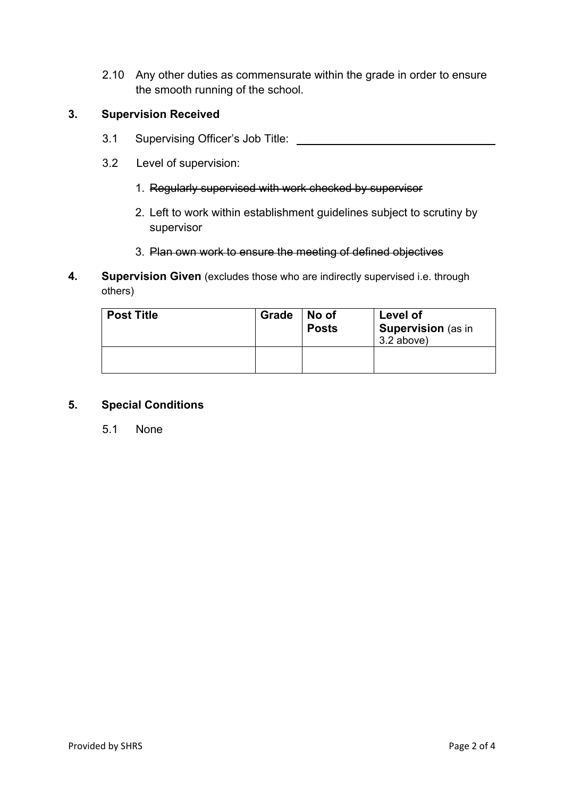2.10 Any other duties as commensurate within the grade in order to ensure the smooth running of the school.

#### **3. Supervision Received**

- 3.1 Supervising Officer's Job Title:
- 3.2 Level of supervision:
	- 1. Regularly supervised with work checked by supervisor
	- 2. Left to work within establishment guidelines subject to scrutiny by supervisor
	- 3. Plan own work to ensure the meeting of defined objectives
- **4. Supervision Given** (excludes those who are indirectly supervised i.e. through others)

| <b>Post Title</b> | Grade | No of<br><b>Posts</b> | Level of<br>Supervision (as in<br>$3.2$ above) |  |  |  |
|-------------------|-------|-----------------------|------------------------------------------------|--|--|--|
|                   |       |                       |                                                |  |  |  |

#### **5. Special Conditions**

5.1 None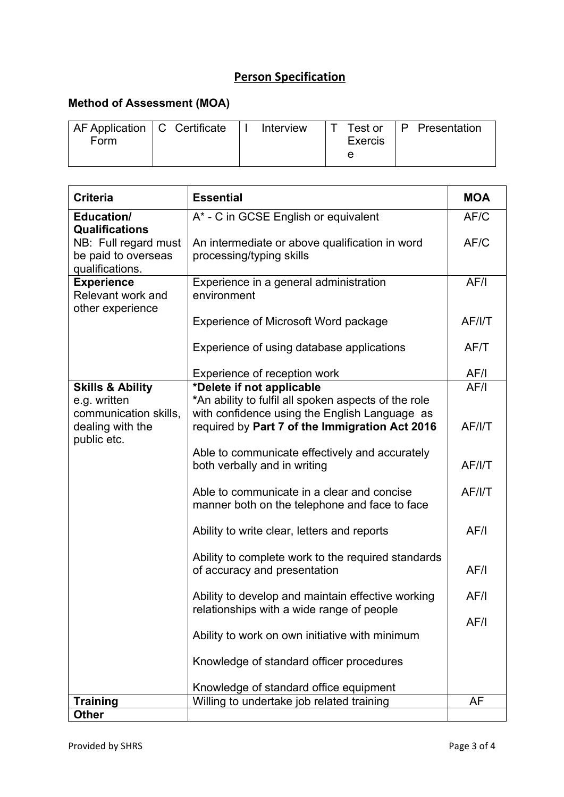# **Person Specification**

## **Method of Assessment (MOA)**

| AF Application   C Certificate |  | Interview |                | Test or   P Presentation |
|--------------------------------|--|-----------|----------------|--------------------------|
| Form                           |  |           | <b>Exercis</b> |                          |
|                                |  |           |                |                          |

| <b>Criteria</b>                                                | <b>Essential</b>                                                                                | <b>MOA</b> |
|----------------------------------------------------------------|-------------------------------------------------------------------------------------------------|------------|
| Education/<br><b>Qualifications</b>                            | A* - C in GCSE English or equivalent                                                            | AF/C       |
| NB: Full regard must<br>be paid to overseas<br>qualifications. | An intermediate or above qualification in word<br>processing/typing skills                      | AF/C       |
| <b>Experience</b><br>Relevant work and<br>other experience     | Experience in a general administration<br>environment                                           | AF/I       |
|                                                                | Experience of Microsoft Word package                                                            | AF/I/T     |
|                                                                | Experience of using database applications                                                       | AF/T       |
|                                                                | Experience of reception work                                                                    | AF/I       |
| <b>Skills &amp; Ability</b><br>e.g. written                    | *Delete if not applicable<br>*An ability to fulfil all spoken aspects of the role               | AF/I       |
| communication skills,<br>dealing with the<br>public etc.       | with confidence using the English Language as<br>required by Part 7 of the Immigration Act 2016 | AF/ I/T    |
|                                                                | Able to communicate effectively and accurately<br>both verbally and in writing                  | AF/I/T     |
|                                                                | Able to communicate in a clear and concise<br>manner both on the telephone and face to face     | AF/I/T     |
|                                                                | Ability to write clear, letters and reports                                                     | AF/I       |
|                                                                | Ability to complete work to the required standards<br>of accuracy and presentation              | AF/I       |
|                                                                | Ability to develop and maintain effective working<br>relationships with a wide range of people  | AF/I       |
|                                                                | Ability to work on own initiative with minimum                                                  | AF/I       |
|                                                                | Knowledge of standard officer procedures                                                        |            |
|                                                                | Knowledge of standard office equipment                                                          |            |
| <b>Training</b>                                                | Willing to undertake job related training                                                       | <b>AF</b>  |
| <b>Other</b>                                                   |                                                                                                 |            |